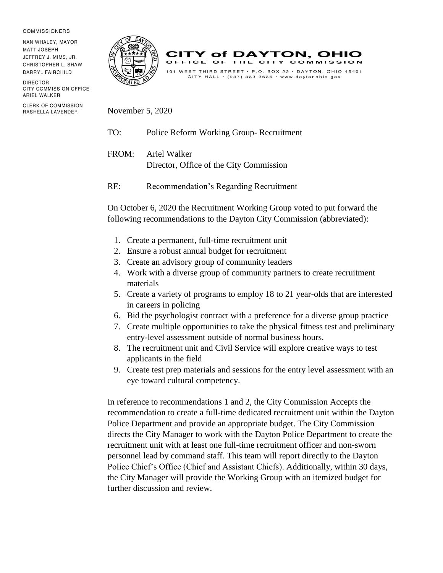## **COMMISSIONERS**

NAN WHALEY, MAYOR **MATT JOSEPH** JEFFREY J. MIMS, JR. CHRISTOPHER L. SHAW DARRYL FAIRCHILD

DIRECTOR CITY COMMISSION OFFICE ARIEL WALKER

**CLERK OF COMMISSION** RASHELLA LAVENDER





November 5, 2020

TO: Police Reform Working Group- Recruitment

FROM: Ariel Walker Director, Office of the City Commission

RE: Recommendation's Regarding Recruitment

On October 6, 2020 the Recruitment Working Group voted to put forward the following recommendations to the Dayton City Commission (abbreviated):

- 1. Create a permanent, full-time recruitment unit
- 2. Ensure a robust annual budget for recruitment
- 3. Create an advisory group of community leaders
- 4. Work with a diverse group of community partners to create recruitment materials
- 5. Create a variety of programs to employ 18 to 21 year-olds that are interested in careers in policing
- 6. Bid the psychologist contract with a preference for a diverse group practice
- 7. Create multiple opportunities to take the physical fitness test and preliminary entry-level assessment outside of normal business hours.
- 8. The recruitment unit and Civil Service will explore creative ways to test applicants in the field
- 9. Create test prep materials and sessions for the entry level assessment with an eye toward cultural competency.

In reference to recommendations 1 and 2, the City Commission Accepts the recommendation to create a full-time dedicated recruitment unit within the Dayton Police Department and provide an appropriate budget. The City Commission directs the City Manager to work with the Dayton Police Department to create the recruitment unit with at least one full-time recruitment officer and non-sworn personnel lead by command staff. This team will report directly to the Dayton Police Chief's Office (Chief and Assistant Chiefs). Additionally, within 30 days, the City Manager will provide the Working Group with an itemized budget for further discussion and review.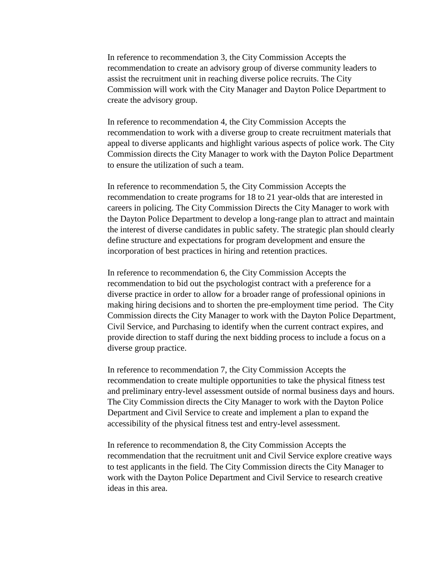In reference to recommendation 3, the City Commission Accepts the recommendation to create an advisory group of diverse community leaders to assist the recruitment unit in reaching diverse police recruits. The City Commission will work with the City Manager and Dayton Police Department to create the advisory group.

In reference to recommendation 4, the City Commission Accepts the recommendation to work with a diverse group to create recruitment materials that appeal to diverse applicants and highlight various aspects of police work. The City Commission directs the City Manager to work with the Dayton Police Department to ensure the utilization of such a team.

In reference to recommendation 5, the City Commission Accepts the recommendation to create programs for 18 to 21 year-olds that are interested in careers in policing. The City Commission Directs the City Manager to work with the Dayton Police Department to develop a long-range plan to attract and maintain the interest of diverse candidates in public safety. The strategic plan should clearly define structure and expectations for program development and ensure the incorporation of best practices in hiring and retention practices.

In reference to recommendation 6, the City Commission Accepts the recommendation to bid out the psychologist contract with a preference for a diverse practice in order to allow for a broader range of professional opinions in making hiring decisions and to shorten the pre-employment time period. The City Commission directs the City Manager to work with the Dayton Police Department, Civil Service, and Purchasing to identify when the current contract expires, and provide direction to staff during the next bidding process to include a focus on a diverse group practice.

In reference to recommendation 7, the City Commission Accepts the recommendation to create multiple opportunities to take the physical fitness test and preliminary entry-level assessment outside of normal business days and hours. The City Commission directs the City Manager to work with the Dayton Police Department and Civil Service to create and implement a plan to expand the accessibility of the physical fitness test and entry-level assessment.

In reference to recommendation 8, the City Commission Accepts the recommendation that the recruitment unit and Civil Service explore creative ways to test applicants in the field. The City Commission directs the City Manager to work with the Dayton Police Department and Civil Service to research creative ideas in this area.